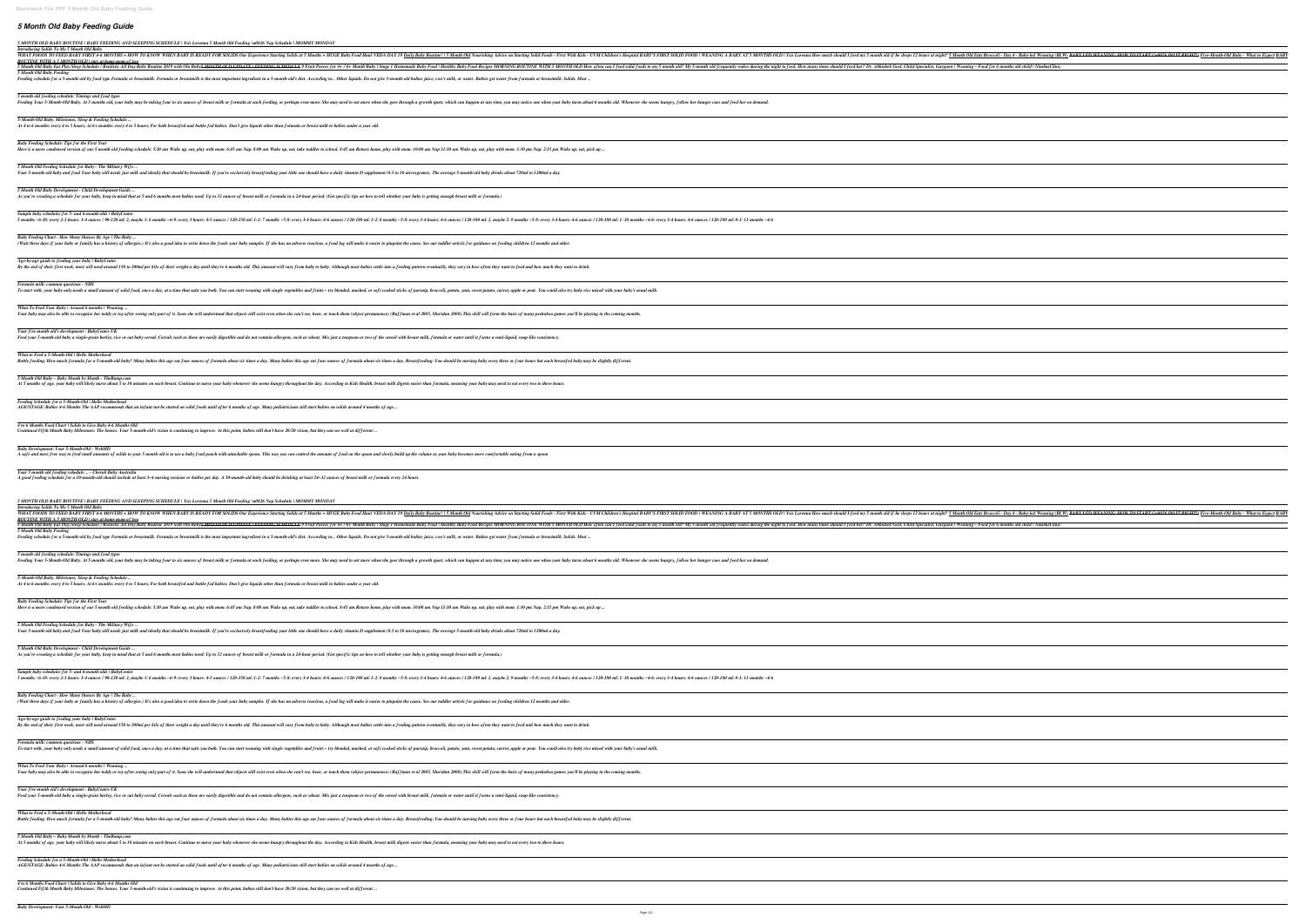## *5 Month Old Baby Feeding Guide*

*5 MONTH OLD BABY ROUTINE | BABY FEEDING AND SLEEPING SCHEDULE | Ysis Lorenna 5 Month Old Feeding \u0026 Nap Schedule | MOMMY MONDAY*

*Introducing Solids To My 5 Month Old Baby*

WHAT FOODS TO FEED BABY FIRST 4-6 MONTHS + HOW TO KNOW WHEN BABY IS READY FOR SOLIDS Our Experience Starting Solids at 5 Months + HUGE Baby *ROUTINE WITH A 5 MONTH OLD | stay at home mom of two* 5 Month Old Baby Eat Play Sleep Schedule / Realistic All Day Baby Routine 2019 with Ola Baby<del>5 MONTH OLD UPDATE | FEEDING SCHEDULE</del> 9 Fruit Purees for 4+ / 6-*5 Month Old Baby Feeding*

Feeding schedule for a 5-month-old by food type Formula or breastmilk. Formula or breastmilk is the most important ingredient in a 5-month-old's diet. According to... Other i

*5 month old feeding schedule: Timings and food types* Feeding Your 5-Month-Old Baby. At 5 months old, your baby may be taking four to six ounces of breast milk or formula at each feeding, or perhaps even more. She may need to eat more when she goes through a growth spurt, whi

*Baby Feeding Schedule: Tips for the First Year* Here is a more condensed version of our 5 month old feeding schedule: 5:30 am Wake up, eat, play with mom. 6:45 am Nap. 8:00 am Wake up, eat, take toddler to school. 8:45 am Return home, play with mom. 10:00 am Nap 11:30 a

*5 Month Old Feeding Schedule for Baby - The Military Wife ...* Your 5-month-old baby and food Your baby still needs just milk and ideally that should be breastmilk. If you're exclusively breastfeeding your little one should have a daily vitamin D supplement (8.5 to 10 micrograms). The

*5 Month Old Baby Development - Child Development Guide ...* As you're creating a schedule for your baby, keep in mind that at 5 and 6 months most babies need: Up to 32 ounces of breast milk or formula in a 24-hour period. (Get specific tips on how to tell whether your baby is getti

*Sample baby schedules for 5- and 6-month-olds | BabyCenter* 5 months ~6-10: every 2-3 hours: 3-4 ounces / 90-120 ml: 2, maybe 3: 6 months ~6-9: every 3 hours: 4-5 ounces / 120-150 ml: 1-2: 7 months ~5-8: every 3-4 hours: 4-6 ounces / 120-180 ml: 1, maybe 2: 9 months ~5-8: every 3-4

*Baby Feeding Chart - How Many Ounces By Age | The Baby ...* (Wait three days if your baby or family has a history of allergies.) It's also a good idea to write down the foods your baby samples. If she has an adverse reaction, a food log will make it easier to pinpoint the cause. Se

*Age-by-age guide to feeding your baby | BabyCenter* By the end of their first week, most will need around 150 to 200ml per kilo of their weight a day until they're 6 months old. This amount will vary from baby to baby. Although most babies settle into a feeding pattern even

*5-Month-Old Baby: Milestones, Sleep & Feeding Schedule ... At 4 to 6 months: every 4 to 5 hours; At 6+ months: every 4 to 5 hours; For both breastfed and bottle-fed babies. Don't give liquids other than formula or breast milk to babies under a year old.*

*What To Feed Your Baby | Around 6 months | Weaning ...* Your baby may also be able to recognise her teddy or toy after seeing only part of it. Soon she will understand that objects still exist even when she can't see, hear, or touch them (object permanence) (Ruffman et al 2005,

*Your five month old's development - BabyCentre UK* Feed your 5-month-old baby a single-grain barley, rice or oat baby cereal. Cereals such as these are easily digestible and do not contain allergens, such as wheat. Mix just a teaspoon or two of the cereal with breast milk,

*What to Feed a 5-Month-Old | Hello Motherhood* Bottle feeding: How much formula for a 5-month-old baby? Many babies this age eat four ounces of formula about six times a day. Many babies this age eat four ounces of formula about six times a day. Breastfeeding: You shou

*5 Month Old Baby – Baby Month by Month - TheBump.com* At 5 months of age, your baby will likely nurse about 5 to 10 minutes on each breast. Continue to nurse your baby whenever she seems hungry throughout the day. According to Kids Health, breast milk digests easier than form

*Baby Development: Your 5-Month-Old - WebMD* A safe and mess free way to feed small amounts of solids to your 5 month old is to use a baby food pouch with attachable spoon. This way you can control the amount of food on the spoon and slowly build up the volume as you

*5 MONTH OLD BABY ROUTINE | BABY FEEDING AND SLEEPING SCHEDULE | Ysis Lorenna 5 Month Old Feeding \u0026 Nap Schedule | MOMMY MONDAY Introducing Solids To My 5 Month Old Baby* WHAT FOODS TO FEED BABY FIRST 4-6 MONTHS + HOW TO KNOW WHEN BABY IS READY FOR SOLIDS Our Experience Starting Solids at 5 Months + HUGE Baby Routine! 15 Months + HUGE Baby Routine! 15 Month Old Nourishing Advice on Starting *ROUTINE WITH A 5 MONTH OLD | stay at home mom of two* 5 Month Old Baby Eat Play Sleep Schedule / Realistic All Day Baby Routine 2019 with Ola Baby<del>5 MONTH OLD UPDATE | FEEDING SCHEDULE</del> 9 Fruit Purees for 4+ / 6+ Month Baby | Stage 1 Homemade Baby Food | Healthy Baby Food Rec *5 Month Old Baby Feeding* Feeding schedule for a 5-month-old by food type Formula or breastmilk. Formula or breastmilk is the most important ingredient in a 5-month-old's diet. According to... Other liquids. Do not give 5-month-old babies juice, co

*5 month old feeding schedule: Timings and food types* Feeding Your 5-Month-Old Baby. At 5 months old, your baby may be taking four to six ounces of breast milk or formula at each feeding, or perhaps even more. She may need to eat more when she goes through a growth spurt, whi

*Formula milk: common questions - NHS*

To start with, your baby only needs a small amount of solid food, once a day, at a time that suits you both. You can start weaning with single vegetables and fruits – try blended, mashed, or soft cooked sticks of parsnip,

*5 Month Old Feeding Schedule for Baby - The Military Wife ...* Your 5-month-old baby and food Your baby still needs just milk and ideally that should be breastmilk. If you're exclusively breastfeeding your little one should have a daily vitamin D supplement (8.5 to 10 micrograms). The

*Baby Feeding Chart - How Many Ounces By Age | The Baby ...* (Wait three days if your baby or family has a history of allergies.) It's also a good idea to write down the foods your baby samples. If she has an adverse reaction, a food log will make it easier to pinpoint the cause. Se

*Formula milk: common questions - NHS* To start with, your baby only needs a small amount of solid food, once a day, at a time that suits you both. You can start weaning with single vegetables and fruits – try blended, mashed, or soft cooked sticks of parsnip,

*Feeding Schedule for a 5-Month-Old | Hello Motherhood AGE/STAGE: Babies 4-6 Months The AAP recommends that an infant not be started on solid foods until after 6 months of age. Many pediatricians still start babies on solids around 4 months of age....*

*What to Feed a 5-Month-Old | Hello Motherhood* Bottle feeding: How much formula for a 5-month-old baby? Many babies this age eat four ounces of formula about six times a day. Many babies this age eat four ounces of formula about six times a day. Breastfeeding: You shou

*4 to 6 Months Food Chart | Solids to Give Baby 4-6 Months Old*

*5 Month Old Baby – Baby Month by Month - TheBump.com* At 5 months of age, your baby will likely nurse about 5 to 10 minutes on each breast. Continue to nurse your baby whenever she seems hungry throughout the day. According to Kids Health, breast milk digests easier than form

*Continued Fifth Month Baby Milestones: The Senses. Your 5-month-old's vision is continuing to improve. At this point, babies still don't have 20/20 vision, but they can see well at different ...*

*Your 5 month old feeding schedule ... - Cherub Baby Australia A good feeding schedule for a 10-month-old should include at least 3–4 nursing sessions or bottles per day. A 10-month-old baby should be drinking at least 24–32 ounces of breast milk or formula every 24 hours.*

*5-Month-Old Baby: Milestones, Sleep & Feeding Schedule ... At 4 to 6 months: every 4 to 5 hours; At 6+ months: every 4 to 5 hours; For both breastfed and bottle-fed babies. Don't give liquids other than formula or breast milk to babies under a year old.*

*Baby Feeding Schedule: Tips for the First Year*

Here is a more condensed version of our 5 month old feeding schedule: 5:30 am Wake up, eat, play with mom. 6:45 am Nap. 8:00 am Wake up, eat, take toddler to school. 8:45 am Return home, play with mom. 10:00 am Nap 11:30 a

*5 Month Old Baby Development - Child Development Guide ...*

As you're creating a schedule for your baby, keep in mind that at 5 and 6 months most babies need: Up to 32 ounces of breast milk or formula in a 24-hour period. (Get specific tips on how to tell whether your baby is getti

*Sample baby schedules for 5- and 6-month-olds | BabyCenter*

5 months ~6-10: every 2-3 hours: 3-4 ounces / 90-120 ml: 2, maybe 3: 6 months ~6-9: every 3 hours: 4-5 ounces / 120-150 ml: 1-2: 7 months ~5-8: every 3-4 hours: 4-6 ounces / 120-180 ml: 1, maybe 2: 9 months ~5-8: every 3-4

*Age-by-age guide to feeding your baby | BabyCenter*

By the end of their first week, most will need around 150 to 200ml per kilo of their weight a day until they're 6 months old. This amount will vary from baby. Although most babies settle into a feeding pattern eventually,

*What To Feed Your Baby | Around 6 months | Weaning ...*

Your baby may also be able to recognise her teddy or toy after seeing only part of it. Soon she will understand that objects still exist even when she can't see, hear, or touch them (object permanence) (Ruffman et al 2005,

*Your five month old's development - BabyCentre UK*

Feed your 5-month-old baby a single-grain barley, rice or oat baby cereal. Cereals such as these are easily digestible and do not contain allergens, such as wheat. Mix just a teaspoon or two of the cereal with breast milk,

*Feeding Schedule for a 5-Month-Old | Hello Motherhood*

*AGE/STAGE: Babies 4-6 Months The AAP recommends that an infant not be started on solid foods until after 6 months of age. Many pediatricians still start babies on solids around 4 months of age....*

*4 to 6 Months Food Chart | Solids to Give Baby 4-6 Months Old Continued Fifth Month Baby Milestones: The Senses. Your 5-month-old's vision is continuing to improve. At this point, babies still don't have 20/20 vision, but they can see well at different ...*

| v Food Haul VEDA DAY 19 <u>Daily Baby Routine!   5 Month Old</u> Nourishing Advice on Starting Solid Foods - First With Kids - UVM Children's Hospital BABY'S FIRST SOLID FOOD |
|--------------------------------------------------------------------------------------------------------------------------------------------------------------------------------|
|                                                                                                                                                                                |
| + Month Baby   Stage 1 Homemade Baby Food   Healthy Baby Food Recipes MORNING ROUTINE WITH 5 MONTH OLD How often can I feed solid foods to my 5 month old? My 5-1              |
|                                                                                                                                                                                |
| liquids. Do not give 5-month-old babies juice, cow's milk, or water. Babies get water from formula or breastmilk. Solids. Most                                                 |
|                                                                                                                                                                                |
|                                                                                                                                                                                |
|                                                                                                                                                                                |

| WEANING A BABY AT 5 MONTHS OLD   Ysis Lorenna How much should I feed my 5 month old if he sleeps 12 hours at night? 5 Month Old Eats Broccoli - Day 4 - Baby-led Weaning (BLW) BABY LED WEANING: HOW TO START (40026 DO IT RIG                                                                                                                                                                                              |
|-----------------------------------------------------------------------------------------------------------------------------------------------------------------------------------------------------------------------------------------------------------------------------------------------------------------------------------------------------------------------------------------------------------------------------|
| onth old frequently wakes during the night to feed. How many times should I feed her? Dr. Abhishek Goel, Child Specialist, Gurgaon   Weaning – Food for 6 months old child   NimbusClinic                                                                                                                                                                                                                                   |
|                                                                                                                                                                                                                                                                                                                                                                                                                             |
| unger cues and feed her on demand.                                                                                                                                                                                                                                                                                                                                                                                          |
|                                                                                                                                                                                                                                                                                                                                                                                                                             |
|                                                                                                                                                                                                                                                                                                                                                                                                                             |
|                                                                                                                                                                                                                                                                                                                                                                                                                             |
|                                                                                                                                                                                                                                                                                                                                                                                                                             |
|                                                                                                                                                                                                                                                                                                                                                                                                                             |
|                                                                                                                                                                                                                                                                                                                                                                                                                             |
|                                                                                                                                                                                                                                                                                                                                                                                                                             |
|                                                                                                                                                                                                                                                                                                                                                                                                                             |
| nces / 120-180 ml: 0-1: 11 months ~4-6                                                                                                                                                                                                                                                                                                                                                                                      |
|                                                                                                                                                                                                                                                                                                                                                                                                                             |
|                                                                                                                                                                                                                                                                                                                                                                                                                             |
|                                                                                                                                                                                                                                                                                                                                                                                                                             |
|                                                                                                                                                                                                                                                                                                                                                                                                                             |
|                                                                                                                                                                                                                                                                                                                                                                                                                             |
|                                                                                                                                                                                                                                                                                                                                                                                                                             |
|                                                                                                                                                                                                                                                                                                                                                                                                                             |
|                                                                                                                                                                                                                                                                                                                                                                                                                             |
|                                                                                                                                                                                                                                                                                                                                                                                                                             |
|                                                                                                                                                                                                                                                                                                                                                                                                                             |
|                                                                                                                                                                                                                                                                                                                                                                                                                             |
|                                                                                                                                                                                                                                                                                                                                                                                                                             |
|                                                                                                                                                                                                                                                                                                                                                                                                                             |
|                                                                                                                                                                                                                                                                                                                                                                                                                             |
|                                                                                                                                                                                                                                                                                                                                                                                                                             |
|                                                                                                                                                                                                                                                                                                                                                                                                                             |
|                                                                                                                                                                                                                                                                                                                                                                                                                             |
|                                                                                                                                                                                                                                                                                                                                                                                                                             |
|                                                                                                                                                                                                                                                                                                                                                                                                                             |
|                                                                                                                                                                                                                                                                                                                                                                                                                             |
| WEANING A BABY AT 5 MONTHS OLD   Ysis Lorenna How much should I feed my 5 month old if he sleeps 12 hours at night? 5 Month Old Eats Broccoli - Day 4 - Baby-led Weaning (BLW) BABY LED WEANING: HOW TO START (40026 DO IT RIG<br>onth old frequently wakes during the night to feed. How many times should I feed her? Dr. Abhishek Goel, Child Specialist, Gurgaon   Weaning – Food for 6 months old child   NimbusClinic |
|                                                                                                                                                                                                                                                                                                                                                                                                                             |
|                                                                                                                                                                                                                                                                                                                                                                                                                             |
| unger cues and feed her on demand.                                                                                                                                                                                                                                                                                                                                                                                          |
|                                                                                                                                                                                                                                                                                                                                                                                                                             |
|                                                                                                                                                                                                                                                                                                                                                                                                                             |
|                                                                                                                                                                                                                                                                                                                                                                                                                             |
|                                                                                                                                                                                                                                                                                                                                                                                                                             |
|                                                                                                                                                                                                                                                                                                                                                                                                                             |
|                                                                                                                                                                                                                                                                                                                                                                                                                             |